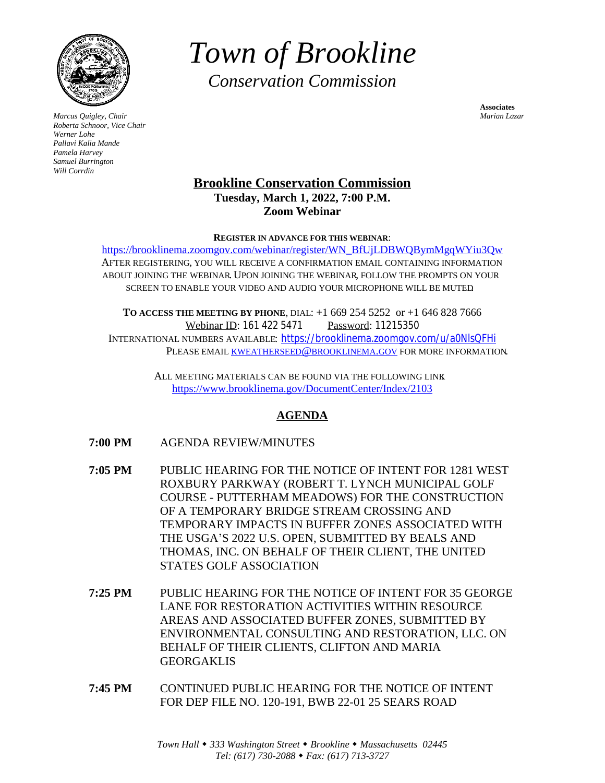

*Marcus Quigley, Chair Marian Lazar Roberta Schnoor, Vice Chair Werner Lohe Pallavi Kalia Mande Pamela Harvey Samuel Burrington Will Corrdin*

*Town of Brookline Conservation Commission*

**Associates**

# **Brookline Conservation Commission Tuesday, March 1, 2022, 7:00 P.M. Zoom Webinar**

#### **REGISTER IN ADVANCE FOR THIS WEBINAR**:

[https://brooklinema.zoomgov.com/webinar/register/WN\\_BfUjLDBWQBymMgqWYiu3Qw](https://brooklinema.zoomgov.com/webinar/register/WN_BfUjLDBWQBymMgqWYiu3Qw) AFTER REGISTERING, [YOU WILL RECEIVE A CONFIRMATION EMAIL CONTAINING INFORMATION](https://brooklinema.zoomgov.com/webinar/register/WN_BfUjLDBWQBymMgqWYiu3Qw) ABOUT JOINING THE WEBINAR. UPON JOINING THE WEBINAR, [FOLLOW THE PROMPTS ON YOUR](https://brooklinema.zoomgov.com/webinar/register/WN_BfUjLDBWQBymMgqWYiu3Qw) [SCREEN TO ENABLE YOUR VIDEO AND AUDIO](https://brooklinema.zoomgov.com/webinar/register/WN_BfUjLDBWQBymMgqWYiu3Qw). YOUR MICROPHONE WILL BE MUTED.

**T[O ACCESS THE MEETING BY PHONE](https://brooklinema.zoomgov.com/webinar/register/WN_BfUjLDBWQBymMgqWYiu3Qw)**, [DIAL](https://brooklinema.zoomgov.com/webinar/register/WN_BfUjLDBWQBymMgqWYiu3Qw): [+1 669 254 5252 or +1 646 828 7666](https://brooklinema.zoomgov.com/webinar/register/WN_BfUjLDBWQBymMgqWYiu3Qw) [Webinar ID:](https://brooklinema.zoomgov.com/webinar/register/WN_BfUjLDBWQBymMgqWYiu3Qw) [161 422 5471](https://brooklinema.zoomgov.com/webinar/register/WN_BfUjLDBWQBymMgqWYiu3Qw) [Password:](https://brooklinema.zoomgov.com/webinar/register/WN_BfUjLDBWQBymMgqWYiu3Qw) [11215350](https://brooklinema.zoomgov.com/webinar/register/WN_BfUjLDBWQBymMgqWYiu3Qw) I[NTERNATIONAL NUMBERS AVAILABLE](https://brooklinema.zoomgov.com/webinar/register/WN_BfUjLDBWQBymMgqWYiu3Qw): <https://brooklinema.zoomgov.com/u/a0NlsQFHi> PLEASE EMAIL [KWEATHERSEED](mailto:kweatherseed@brooklinema.gov)@BROOKLINEMA.GOV FOR MORE INFORMATION.

> ALL MEETING MATERIALS CAN BE FOUND VIA THE FOLLOWING LINK: <https://www.brooklinema.gov/DocumentCenter/Index/2103>

# **[AGENDA](https://www.brooklinema.gov/DocumentCenter/Index/2103)**

- **[7:00 PM](https://www.brooklinema.gov/DocumentCenter/Index/2103)** [AGENDA REVIEW/MINUTES](https://www.brooklinema.gov/DocumentCenter/Index/2103)
- **[7:05 PM](https://www.brooklinema.gov/DocumentCenter/Index/2103)** [PUBLIC HEARING FOR THE NOTICE OF INTENT FOR 1281 WEST](https://www.brooklinema.gov/DocumentCenter/Index/2103)  [ROXBURY PARKWAY \(ROBERT T. LYNCH MUNICIPAL GOLF](https://www.brooklinema.gov/DocumentCenter/Index/2103)  [COURSE - PUTTERHAM MEADOWS\) FOR THE CONSTRUCTION](https://www.brooklinema.gov/DocumentCenter/Index/2103)  [OF A TEMPORARY BRIDGE STREAM CROSSING AND](https://www.brooklinema.gov/DocumentCenter/Index/2103)  [TEMPORARY IMPACTS IN BUFFER ZONES ASSOCIATED WITH](https://www.brooklinema.gov/DocumentCenter/Index/2103)  [THE USG](https://www.brooklinema.gov/DocumentCenter/Index/2103)A'[S 2022 U.S. OPEN, SUBMITTED BY BEALS AND](https://www.brooklinema.gov/DocumentCenter/Index/2103)  [THOMAS, INC. ON BEHALF OF THEIR CLIENT, THE UNITED](https://www.brooklinema.gov/DocumentCenter/Index/2103)  [STATES GOLF ASSOCIATION](https://www.brooklinema.gov/DocumentCenter/Index/2103)
- **[7:25 PM](https://www.brooklinema.gov/DocumentCenter/Index/2103)** [PUBLIC HEARING FOR THE NOTICE OF INTENT FOR 35 GEORGE](https://www.brooklinema.gov/DocumentCenter/Index/2103) [LANE FOR RESTORATION ACTIVITIES WITHIN RESOURCE](https://www.brooklinema.gov/DocumentCenter/Index/2103)  [AREAS AND ASSOCIATED BUFFER ZONES, SUBMITTED BY](https://www.brooklinema.gov/DocumentCenter/Index/2103)  [ENVIRONMENTAL CONSULTING AND RESTORATION, LLC. ON](https://www.brooklinema.gov/DocumentCenter/Index/2103)  [BEHALF OF THEIR CLIENTS, CLIFTON AND MARIA](https://www.brooklinema.gov/DocumentCenter/Index/2103)  [GEORGAKLIS](https://www.brooklinema.gov/DocumentCenter/Index/2103)
- **[7:45 PM](https://www.brooklinema.gov/DocumentCenter/Index/2103)** [CONTINUED PUBLIC HEARING FOR THE NOTICE OF INTENT](https://www.brooklinema.gov/DocumentCenter/Index/2103)  [FOR](https://www.brooklinema.gov/DocumentCenter/Index/2103) [DEP FILE NO. 120-191, BWB 22-01 25 SEARS ROAD](https://www.brooklinema.gov/DocumentCenter/Index/2103)